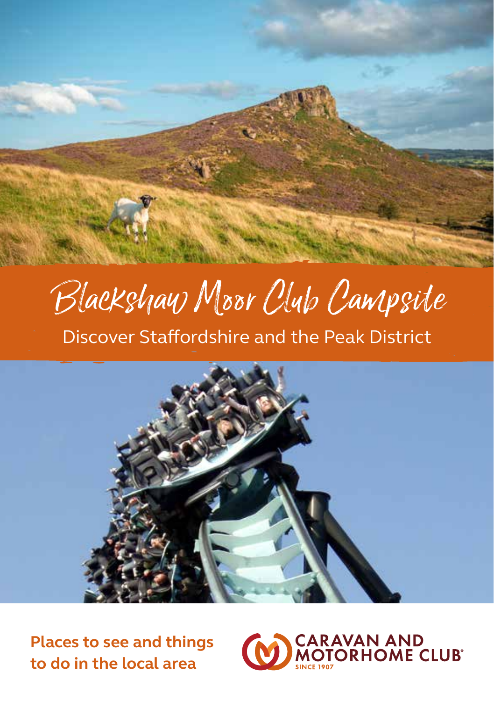# Ducksylay Moor Club Campsive<br>Discover Staffordshire and the Peak District



**Places to see and things to do in the local area**

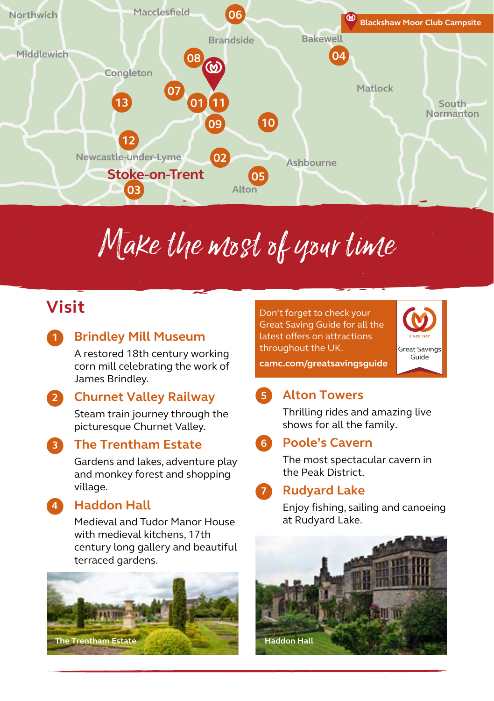

# Make the most of your time

# **Visit**

**1**

### **Brindley Mill Museum**

A restored 18th century working corn mill celebrating the work of James Brindley.

#### **Churnet Valley Railway 2**

Steam train journey through the picturesque Churnet Valley.

**3**

**4**

### **The Trentham Estate**

Gardens and lakes, adventure play and monkey forest and shopping village.

**Haddon Hall**

Medieval and Tudor Manor House with medieval kitchens, 17th century long gallery and beautiful terraced gardens.



Don't forget to check your Great Saving Guide for all the latest offers on attractions throughout the UK.



**camc.com/greatsavingsguide**

### **Alton Towers 5**

Thrilling rides and amazing live shows for all the family.

### **Poole's Cavern 6**

The most spectacular cavern in the Peak District.

#### **Rudyard Lake 7**

Enjoy fishing, sailing and canoeing at Rudyard Lake.

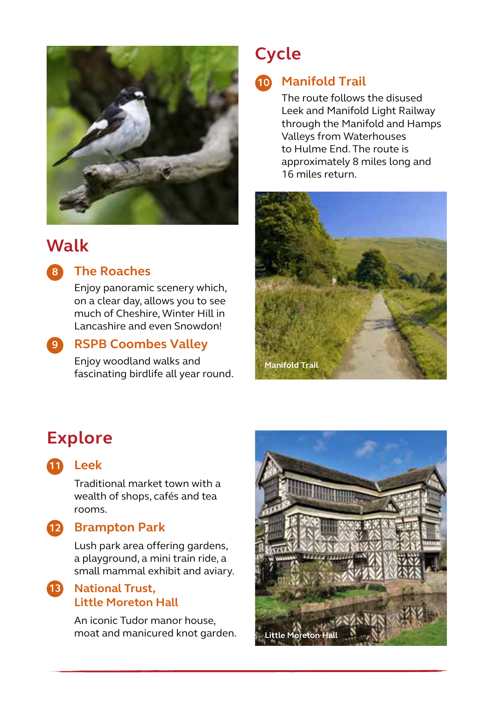

# **Walk**



### **The Roaches**

Enjoy panoramic scenery which, on a clear day, allows you to see much of Cheshire, Winter Hill in Lancashire and even Snowdon!

### **RSPB Coombes Valley 9**

Enjoy woodland walks and fascinating birdlife all year round.

# **Cycle**

### **Manifold Trail 10**

The route follows the disused Leek and Manifold Light Railway through the Manifold and Hamps Valleys from Waterhouses to Hulme End. The route is approximately 8 miles long and 16 miles return.



# **Explore**



### **Leek 11**

Traditional market town with a wealth of shops, cafés and tea rooms.

### **Brampton Park 12**

Lush park area offering gardens, a playground, a mini train ride, a small mammal exhibit and aviary.

### **National Trust, 13 Little Moreton Hall**

An iconic Tudor manor house, moat and manicured knot garden.